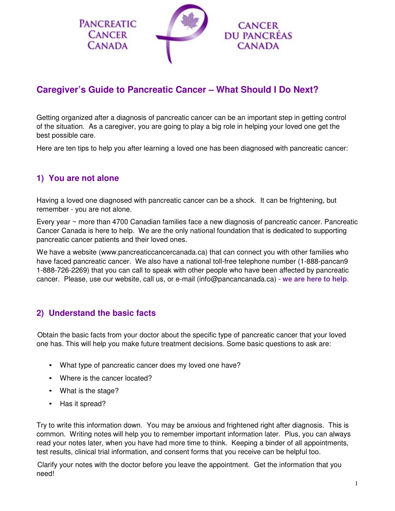

# **Caregiver's Guide to Pancreatic Cancer – What Should I Do Next?**

Getting organized after a diagnosis of pancreatic cancer can be an important step in getting control of the situation. As a caregiver, you are going to play a big role in helping your loved one get the best possible care.

Here are ten tips to help you after learning a loved one has been diagnosed with pancreatic cancer:

## **1) You are not alone**

Having a loved one diagnosed with pancreatic cancer can be a shock. It can be frightening, but remember - you are not alone.

Every year ~ more than 4700 Canadian families face a new diagnosis of pancreatic cancer. Pancreatic Cancer Canada is here to help. We are the only national foundation that is dedicated to supporting pancreatic cancer patients and their loved ones.

We have a website (www.pancreaticcancercanada.ca) that can connect you with other families who have faced pancreatic cancer. We also have a national toll-free telephone number (1-888-pancan9 1-888-726-2269) that you can call to speak with other people who have been affected by pancreatic cancer. Please, use our website, call us, or e-mail (info@pancancanada.ca) - **we are here to help**.

## **2) Understand the basic facts**

Obtain the basic facts from your doctor about the specific type of pancreatic cancer that your loved one has. This will help you make future treatment decisions. Some basic questions to ask are:

- What type of pancreatic cancer does my loved one have?
- Where is the cancer located?
- What is the stage?
- Has it spread?

Try to write this information down. You may be anxious and frightened right after diagnosis. This is common. Writing notes will help you to remember important information later. Plus, you can always read your notes later, when you have had more time to think. Keeping a binder of all appointments, test results, clinical trial information, and consent forms that you receive can be helpful too.

Clarify your notes with the doctor before you leave the appointment. Get the information that you need!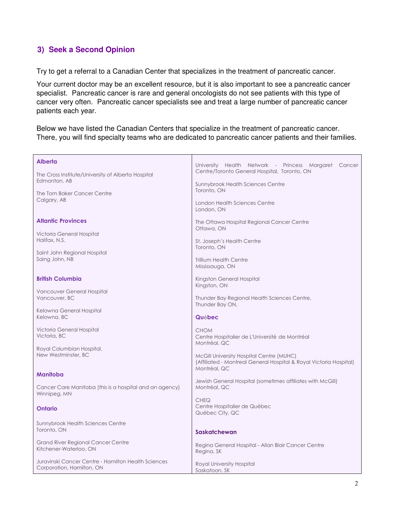#### **3) Seek a Second Opinion**

Try to get a referral to a Canadian Center that specializes in the treatment of pancreatic cancer.

Your current doctor may be an excellent resource, but it is also important to see a pancreatic cancer specialist. Pancreatic cancer is rare and general oncologists do not see patients with this type of cancer very often. Pancreatic cancer specialists see and treat a large number of pancreatic cancer patients each year.

Below we have listed the Canadian Centers that specialize in the treatment of pancreatic cancer. There, you will find specialty teams who are dedicated to pancreatic cancer patients and their families.

| Alberta                                                                          | University Health Network - Princess Margaret Cancer<br>Centre/Toronto General Hospital, Toronto, ON |
|----------------------------------------------------------------------------------|------------------------------------------------------------------------------------------------------|
| The Cross Institute/University of Alberta Hospital<br>Edmonton, AB               | <b>Sunnybrook Health Sciences Centre</b>                                                             |
| The Tom Baker Cancer Centre<br>Calgary, AB                                       | Toronto, ON                                                                                          |
|                                                                                  | London Health Sciences Centre<br>London, ON                                                          |
| <b>Atlantic Provinces</b>                                                        | The Ottawa Hospital Regional Cancer Centre<br>Ottawa, ON                                             |
| Victoria General Hospital<br>Halifax, N.S.                                       | St. Joseph's Health Centre<br>Toronto, ON                                                            |
| Saint John Regional Hospital<br>Saing John, NB                                   | <b>Trillium Health Centre</b>                                                                        |
|                                                                                  | Mississauga, ON                                                                                      |
| <b>British Columbia</b>                                                          | Kingston General Hospital<br>Kingston, ON                                                            |
| Vancouver General Hospital<br>Vancouver, BC                                      | Thunder Bay Regional Health Sciences Centre,<br>Thunder Bay ON,                                      |
| Kelowna General Hospital<br>Kelowna, BC                                          |                                                                                                      |
|                                                                                  | Québec                                                                                               |
| Victoria General Hospital<br>Victoria, BC                                        | <b>CHOM</b><br>Centre Hospitalier de L'Université de Montréal<br>Montréal, QC                        |
| Royal Columbian Hospital,<br>New Westminster, BC                                 | McGill University Hospital Centre (MUHC)                                                             |
|                                                                                  | (Affiliated - Montreal General Hospital & Royal Victoria Hospital)<br>Montréal, QC                   |
| Manitoba                                                                         | Jewish General Hospital (sometimes affiliates with McGill)                                           |
| Cancer Care Manitoba (this is a hospital and an agency)<br>Winnipeg, MN          | Montréal, QC                                                                                         |
| Ontario                                                                          | <b>CHEQ</b><br>Centre Hospitalier de Québec<br>Québec City, QC                                       |
| Sunnybrook Health Sciences Centre                                                |                                                                                                      |
| Toronto, ON                                                                      | <b>Saskatchewan</b>                                                                                  |
| <b>Grand River Regional Cancer Centre</b><br>Kitchener-Waterloo, ON              | Regina General Hospital - Allan Blair Cancer Centre<br>Regina, SK                                    |
| Juravinski Cancer Centre - Hamilton Health Sciences<br>Corporation, Hamilton, ON | Royal University Hospital<br>Saskatoon, SK                                                           |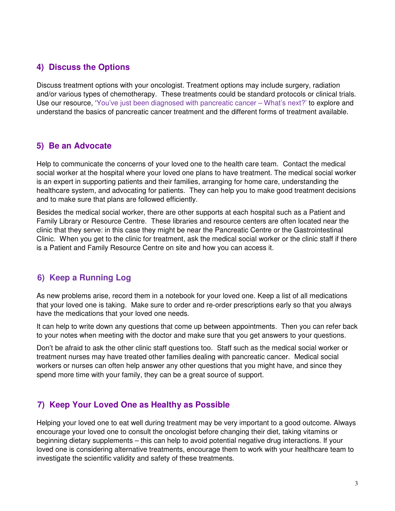## **4) Discuss the Options**

Discuss treatment options with your oncologist. Treatment options may include surgery, radiation and/or various types of chemotherapy. These treatments could be standard protocols or clinical trials. Use our resource, 'You've just been diagnosed with pancreatic cancer – What's next?' to explore and understand the basics of pancreatic cancer treatment and the different forms of treatment available.

#### **5) Be an Advocate**

Help to communicate the concerns of your loved one to the health care team. Contact the medical social worker at the hospital where your loved one plans to have treatment. The medical social worker is an expert in supporting patients and their families, arranging for home care, understanding the healthcare system, and advocating for patients. They can help you to make good treatment decisions and to make sure that plans are followed efficiently.

Besides the medical social worker, there are other supports at each hospital such as a Patient and Family Library or Resource Centre. These libraries and resource centers are often located near the clinic that they serve: in this case they might be near the Pancreatic Centre or the Gastrointestinal Clinic. When you get to the clinic for treatment, ask the medical social worker or the clinic staff if there is a Patient and Family Resource Centre on site and how you can access it.

## **6) Keep a Running Log**

As new problems arise, record them in a notebook for your loved one. Keep a list of all medications that your loved one is taking. Make sure to order and re-order prescriptions early so that you always have the medications that your loved one needs.

It can help to write down any questions that come up between appointments. Then you can refer back to your notes when meeting with the doctor and make sure that you get answers to your questions.

Don't be afraid to ask the other clinic staff questions too. Staff such as the medical social worker or treatment nurses may have treated other families dealing with pancreatic cancer. Medical social workers or nurses can often help answer any other questions that you might have, and since they spend more time with your family, they can be a great source of support.

## **7) Keep Your Loved One as Healthy as Possible**

Helping your loved one to eat well during treatment may be very important to a good outcome. Always encourage your loved one to consult the oncologist before changing their diet, taking vitamins or beginning dietary supplements – this can help to avoid potential negative drug interactions. If your loved one is considering alternative treatments, encourage them to work with your healthcare team to investigate the scientific validity and safety of these treatments.